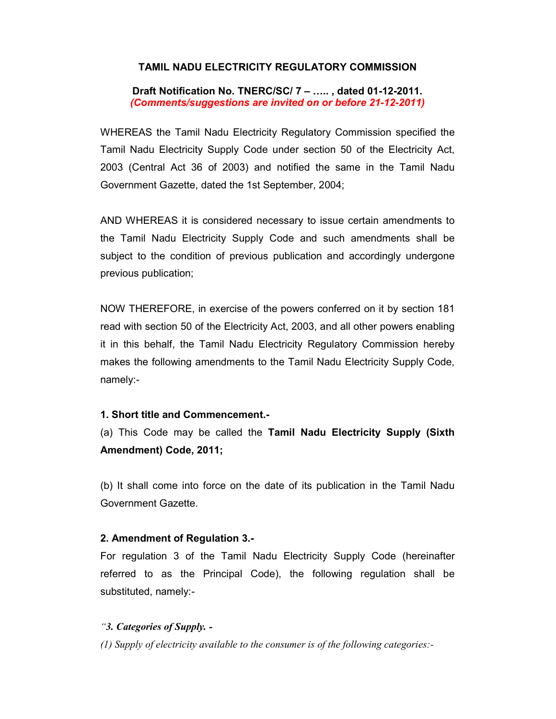## TAMIL NADU ELECTRICITY REGULATORY COMMISSION

Draft Notification No. TNERC/SC/ 7 – ….. , dated 01-12-2011. (Comments/suggestions are invited on or before 21-12-2011)

WHEREAS the Tamil Nadu Electricity Regulatory Commission specified the Tamil Nadu Electricity Supply Code under section 50 of the Electricity Act, 2003 (Central Act 36 of 2003) and notified the same in the Tamil Nadu Government Gazette, dated the 1st September, 2004;

AND WHEREAS it is considered necessary to issue certain amendments to the Tamil Nadu Electricity Supply Code and such amendments shall be subject to the condition of previous publication and accordingly undergone previous publication;

NOW THEREFORE, in exercise of the powers conferred on it by section 181 read with section 50 of the Electricity Act, 2003, and all other powers enabling it in this behalf, the Tamil Nadu Electricity Regulatory Commission hereby makes the following amendments to the Tamil Nadu Electricity Supply Code, namely:-

### 1. Short title and Commencement.-

(a) This Code may be called the Tamil Nadu Electricity Supply (Sixth Amendment) Code, 2011;

(b) It shall come into force on the date of its publication in the Tamil Nadu Government Gazette.

### 2. Amendment of Regulation 3.-

For regulation 3 of the Tamil Nadu Electricity Supply Code (hereinafter referred to as the Principal Code), the following regulation shall be substituted, namely:-

### "3. Categories of Supply. -

(1) Supply of electricity available to the consumer is of the following categories:-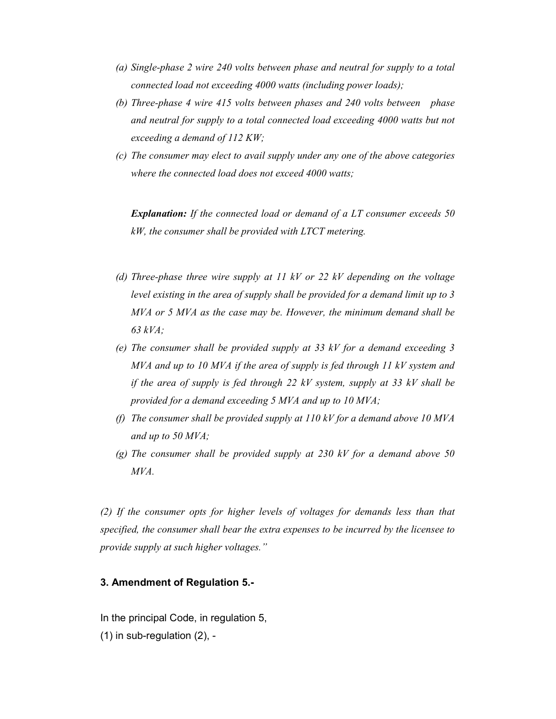- (a) Single-phase 2 wire 240 volts between phase and neutral for supply to a total connected load not exceeding 4000 watts (including power loads);
- (b) Three-phase 4 wire 415 volts between phases and 240 volts between phase and neutral for supply to a total connected load exceeding 4000 watts but not exceeding a demand of 112 KW;
- (c) The consumer may elect to avail supply under any one of the above categories where the connected load does not exceed 4000 watts;

**Explanation:** If the connected load or demand of a LT consumer exceeds 50 kW, the consumer shall be provided with LTCT metering.

- (d) Three-phase three wire supply at 11 kV or 22 kV depending on the voltage level existing in the area of supply shall be provided for a demand limit up to 3 MVA or 5 MVA as the case may be. However, the minimum demand shall be 63 kVA;
- (e) The consumer shall be provided supply at 33 kV for a demand exceeding 3 MVA and up to 10 MVA if the area of supply is fed through 11 kV system and if the area of supply is fed through 22  $kV$  system, supply at 33  $kV$  shall be provided for a demand exceeding 5 MVA and up to 10 MVA;
- (f) The consumer shall be provided supply at  $110 \, kV$  for a demand above 10 MVA and up to 50 MVA;
- (g) The consumer shall be provided supply at 230 kV for a demand above 50 MVA.

(2) If the consumer opts for higher levels of voltages for demands less than that specified, the consumer shall bear the extra expenses to be incurred by the licensee to provide supply at such higher voltages."

#### 3. Amendment of Regulation 5.-

In the principal Code, in regulation 5,

(1) in sub-regulation (2), -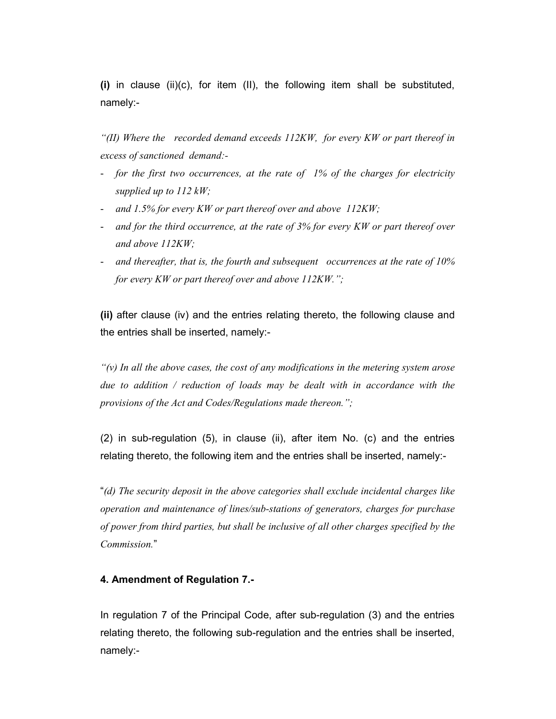(i) in clause (ii)(c), for item (II), the following item shall be substituted, namely:-

"(II) Where the recorded demand exceeds  $112KW$ , for every KW or part thereof in excess of sanctioned demand:-

- for the first two occurrences, at the rate of 1% of the charges for electricity supplied up to 112 kW;
- and 1.5% for every KW or part thereof over and above 112KW;
- and for the third occurrence, at the rate of 3% for every KW or part thereof over and above 112KW;
- and thereafter, that is, the fourth and subsequent occurrences at the rate of 10% for every KW or part thereof over and above 112KW.";

(ii) after clause (iv) and the entries relating thereto, the following clause and the entries shall be inserted, namely:-

" $(v)$  In all the above cases, the cost of any modifications in the metering system arose due to addition / reduction of loads may be dealt with in accordance with the provisions of the Act and Codes/Regulations made thereon.";

(2) in sub-regulation (5), in clause (ii), after item No. (c) and the entries relating thereto, the following item and the entries shall be inserted, namely:-

"(d) The security deposit in the above categories shall exclude incidental charges like operation and maintenance of lines/sub-stations of generators, charges for purchase of power from third parties, but shall be inclusive of all other charges specified by the Commission."

# 4. Amendment of Regulation 7.-

In regulation 7 of the Principal Code, after sub-regulation (3) and the entries relating thereto, the following sub-regulation and the entries shall be inserted, namely:-